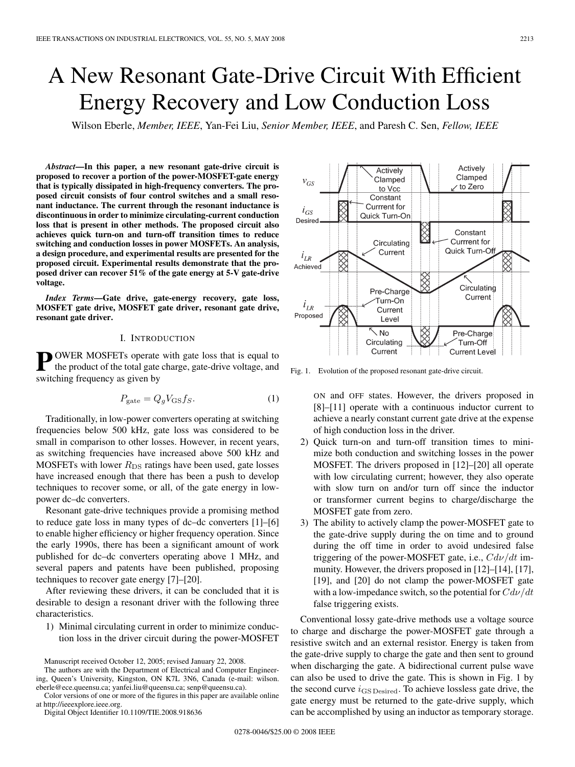# A New Resonant Gate-Drive Circuit With Efficient Energy Recovery and Low Conduction Loss

Wilson Eberle, *Member, IEEE*, Yan-Fei Liu, *Senior Member, IEEE*, and Paresh C. Sen, *Fellow, IEEE*

*Abstract***—In this paper, a new resonant gate-drive circuit is proposed to recover a portion of the power-MOSFET-gate energy that is typically dissipated in high-frequency converters. The proposed circuit consists of four control switches and a small resonant inductance. The current through the resonant inductance is discontinuous in order to minimize circulating-current conduction loss that is present in other methods. The proposed circuit also achieves quick turn-on and turn-off transition times to reduce switching and conduction losses in power MOSFETs. An analysis, a design procedure, and experimental results are presented for the proposed circuit. Experimental results demonstrate that the proposed driver can recover 51% of the gate energy at 5-V gate-drive voltage.**

*Index Terms***—Gate drive, gate-energy recovery, gate loss, MOSFET gate drive, MOSFET gate driver, resonant gate drive, resonant gate driver.**

## I. INTRODUCTION

**PWER MOSFETs operate with gate loss that is equal to** the product of the total gate charge, gate-drive voltage, and switching frequency as given by

$$
P_{\text{gate}} = Q_g V_{\text{GS}} f_S. \tag{1}
$$

Traditionally, in low-power converters operating at switching frequencies below 500 kHz, gate loss was considered to be small in comparison to other losses. However, in recent years, as switching frequencies have increased above 500 kHz and MOSFETs with lower  $R_{DS}$  ratings have been used, gate losses have increased enough that there has been a push to develop techniques to recover some, or all, of the gate energy in lowpower dc–dc converters.

Resonant gate-drive techniques provide a promising method to reduce gate loss in many types of dc–dc converters [1]–[6] to enable higher efficiency or higher frequency operation. Since the early 1990s, there has been a significant amount of work published for dc–dc converters operating above 1 MHz, and several papers and patents have been published, proposing techniques to recover gate energy [7]–[20].

After reviewing these drivers, it can be concluded that it is desirable to design a resonant driver with the following three characteristics.

1) Minimal circulating current in order to minimize conduction loss in the driver circuit during the power-MOSFET

Digital Object Identifier 10.1109/TIE.2008.918636



Fig. 1. Evolution of the proposed resonant gate-drive circuit.

ON and OFF states. However, the drivers proposed in [8]–[11] operate with a continuous inductor current to achieve a nearly constant current gate drive at the expense of high conduction loss in the driver.

- 2) Quick turn-on and turn-off transition times to minimize both conduction and switching losses in the power MOSFET. The drivers proposed in [12]–[20] all operate with low circulating current; however, they also operate with slow turn on and/or turn off since the inductor or transformer current begins to charge/discharge the MOSFET gate from zero.
- 3) The ability to actively clamp the power-MOSFET gate to the gate-drive supply during the on time and to ground during the off time in order to avoid undesired false triggering of the power-MOSFET gate, i.e.,  $Cdv/dt$  immunity. However, the drivers proposed in [12]–[14], [17], [19], and [20] do not clamp the power-MOSFET gate with a low-impedance switch, so the potential for  $Cd\nu/dt$ false triggering exists.

Conventional lossy gate-drive methods use a voltage source to charge and discharge the power-MOSFET gate through a resistive switch and an external resistor. Energy is taken from the gate-drive supply to charge the gate and then sent to ground when discharging the gate. A bidirectional current pulse wave can also be used to drive the gate. This is shown in Fig. 1 by the second curve  $i_{\text{GS Desired}}$ . To achieve lossless gate drive, the gate energy must be returned to the gate-drive supply, which can be accomplished by using an inductor as temporary storage.

Manuscript received October 12, 2005; revised January 22, 2008.

The authors are with the Department of Electrical and Computer Engineering, Queen's University, Kingston, ON K7L 3N6, Canada (e-mail: wilson. eberle@ece.queensu.ca; yanfei.liu@queensu.ca; senp@queensu.ca).

Color versions of one or more of the figures in this paper are available online at http://ieeexplore.ieee.org.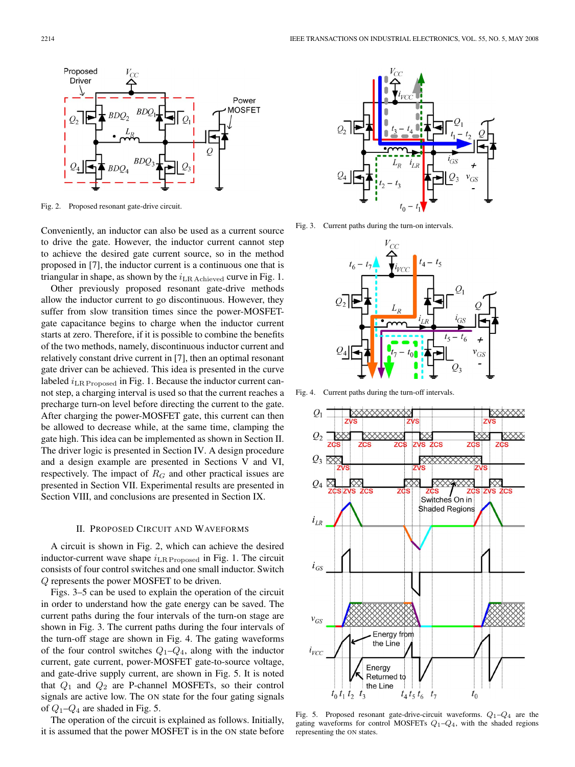

Fig. 2. Proposed resonant gate-drive circuit.

Conveniently, an inductor can also be used as a current source to drive the gate. However, the inductor current cannot step to achieve the desired gate current source, so in the method proposed in [7], the inductor current is a continuous one that is triangular in shape, as shown by the  $i_{LR \text{ Achieved}}$  curve in Fig. 1.

Other previously proposed resonant gate-drive methods allow the inductor current to go discontinuous. However, they suffer from slow transition times since the power-MOSFETgate capacitance begins to charge when the inductor current starts at zero. Therefore, if it is possible to combine the benefits of the two methods, namely, discontinuous inductor current and relatively constant drive current in [7], then an optimal resonant gate driver can be achieved. This idea is presented in the curve labeled  $i_{LR$  Proposed in Fig. 1. Because the inductor current cannot step, a charging interval is used so that the current reaches a precharge turn-on level before directing the current to the gate. After charging the power-MOSFET gate, this current can then be allowed to decrease while, at the same time, clamping the gate high. This idea can be implemented as shown in Section II. The driver logic is presented in Section IV. A design procedure and a design example are presented in Sections V and VI, respectively. The impact of  $R_G$  and other practical issues are presented in Section VII. Experimental results are presented in Section VIII, and conclusions are presented in Section IX.

#### II. PROPOSED CIRCUIT AND WAVEFORMS

A circuit is shown in Fig. 2, which can achieve the desired inductor-current wave shape  $i_{LR$  Proposed in Fig. 1. The circuit consists of four control switches and one small inductor. Switch Q represents the power MOSFET to be driven.

Figs. 3–5 can be used to explain the operation of the circuit in order to understand how the gate energy can be saved. The current paths during the four intervals of the turn-on stage are shown in Fig. 3. The current paths during the four intervals of the turn-off stage are shown in Fig. 4. The gating waveforms of the four control switches  $Q_1 - Q_4$ , along with the inductor current, gate current, power-MOSFET gate-to-source voltage, and gate-drive supply current, are shown in Fig. 5. It is noted that  $Q_1$  and  $Q_2$  are P-channel MOSFETs, so their control signals are active low. The ON state for the four gating signals of  $Q_1$ – $Q_4$  are shaded in Fig. 5.

The operation of the circuit is explained as follows. Initially, it is assumed that the power MOSFET is in the ON state before



Fig. 3. Current paths during the turn-on intervals.



Fig. 4. Current paths during the turn-off intervals.



Fig. 5. Proposed resonant gate-drive-circuit waveforms.  $Q_1 - Q_4$  are the gating waveforms for control MOSFETs  $Q_1-Q_4$ , with the shaded regions representing the ON states.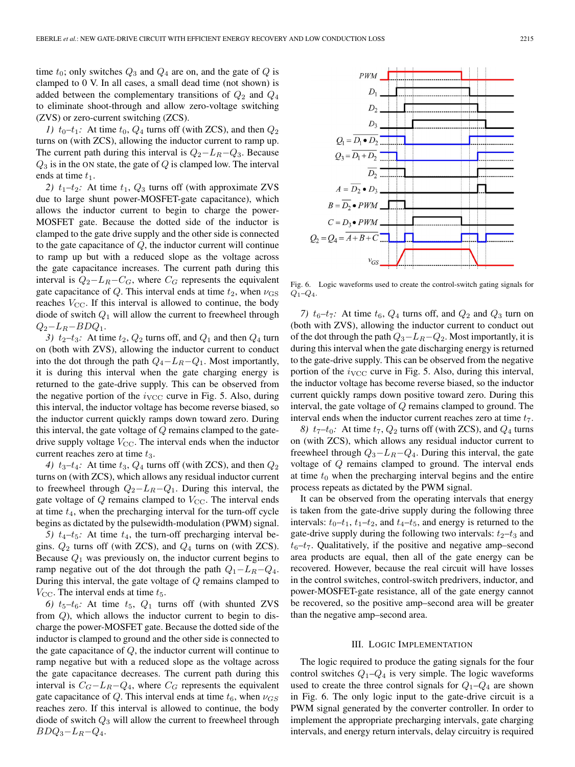time  $t_0$ ; only switches  $Q_3$  and  $Q_4$  are on, and the gate of  $Q$  is clamped to 0 V. In all cases, a small dead time (not shown) is added between the complementary transitions of  $Q_2$  and  $Q_4$ to eliminate shoot-through and allow zero-voltage switching (ZVS) or zero-current switching (ZCS).

*1)*  $t_0$ – $t_1$ : At time  $t_0$ ,  $Q_4$  turns off (with ZCS), and then  $Q_2$ turns on (with ZCS), allowing the inductor current to ramp up. The current path during this interval is  $Q_2 - L_R - Q_3$ . Because  $Q_3$  is in the ON state, the gate of  $Q$  is clamped low. The interval ends at time  $t_1$ .

2)  $t_1-t_2$ : At time  $t_1$ ,  $Q_3$  turns off (with approximate ZVS due to large shunt power-MOSFET-gate capacitance), which allows the inductor current to begin to charge the power-MOSFET gate. Because the dotted side of the inductor is clamped to the gate drive supply and the other side is connected to the gate capacitance of  $Q$ , the inductor current will continue to ramp up but with a reduced slope as the voltage across the gate capacitance increases. The current path during this interval is  $Q_2 - L_R - C_G$ , where  $C_G$  represents the equivalent gate capacitance of Q. This interval ends at time  $t_2$ , when  $\nu_{\text{GS}}$ reaches  $V_{\text{CC}}$ . If this interval is allowed to continue, the body diode of switch  $Q_1$  will allow the current to freewheel through  $Q_2-L_R-BDQ_1.$ 

3)  $t_2-t_3$ : At time  $t_2$ ,  $Q_2$  turns off, and  $Q_1$  and then  $Q_4$  turn on (both with ZVS), allowing the inductor current to conduct into the dot through the path  $Q_4 - L_R - Q_1$ . Most importantly, it is during this interval when the gate charging energy is returned to the gate-drive supply. This can be observed from the negative portion of the  $i_{\text{VCC}}$  curve in Fig. 5. Also, during this interval, the inductor voltage has become reverse biased, so the inductor current quickly ramps down toward zero. During this interval, the gate voltage of  $Q$  remains clamped to the gatedrive supply voltage  $V_{\text{CC}}$ . The interval ends when the inductor current reaches zero at time  $t_3$ .

4)  $t_3-t_4$ : At time  $t_3$ ,  $Q_4$  turns off (with ZCS), and then  $Q_2$ turns on (with ZCS), which allows any residual inductor current to freewheel through  $Q_2-L_R-Q_1$ . During this interval, the gate voltage of  $Q$  remains clamped to  $V_{\text{CC}}$ . The interval ends at time  $t_4$ , when the precharging interval for the turn-off cycle begins as dictated by the pulsewidth-modulation (PWM) signal.

*5)*  $t_4 - t_5$ : At time  $t_4$ , the turn-off precharging interval begins.  $Q_2$  turns off (with ZCS), and  $Q_4$  turns on (with ZCS). Because  $Q_1$  was previously on, the inductor current begins to ramp negative out of the dot through the path  $Q_1 - L_R - Q_4$ . During this interval, the gate voltage of Q remains clamped to  $V_{\text{CC}}$ . The interval ends at time  $t_5$ .

6)  $t_5-t_6$ : At time  $t_5$ ,  $Q_1$  turns off (with shunted ZVS from Q), which allows the inductor current to begin to discharge the power-MOSFET gate. Because the dotted side of the inductor is clamped to ground and the other side is connected to the gate capacitance of  $Q$ , the inductor current will continue to ramp negative but with a reduced slope as the voltage across the gate capacitance decreases. The current path during this interval is  $C_G-L_R-Q_4$ , where  $C_G$  represents the equivalent gate capacitance of Q. This interval ends at time  $t_6$ , when  $\nu_{GS}$ reaches zero. If this interval is allowed to continue, the body diode of switch  $Q_3$  will allow the current to freewheel through  $BDQ_3-L_R-Q_4.$ 



Fig. 6. Logic waveforms used to create the control-switch gating signals for  $Q_1 - Q_4$ .

*7)*  $t_6-t_7$ : At time  $t_6$ ,  $Q_4$  turns off, and  $Q_2$  and  $Q_3$  turn on (both with ZVS), allowing the inductor current to conduct out of the dot through the path  $Q_3 - L_R - Q_2$ . Most importantly, it is during this interval when the gate discharging energy is returned to the gate-drive supply. This can be observed from the negative portion of the  $i_{\text{VCC}}$  curve in Fig. 5. Also, during this interval, the inductor voltage has become reverse biased, so the inductor current quickly ramps down positive toward zero. During this interval, the gate voltage of Q remains clamped to ground. The interval ends when the inductor current reaches zero at time  $t_7$ .

*8)*  $t_7$ – $t_0$ : At time  $t_7$ ,  $Q_2$  turns off (with ZCS), and  $Q_4$  turns on (with ZCS), which allows any residual inductor current to freewheel through  $Q_3 - L_R - Q_4$ . During this interval, the gate voltage of Q remains clamped to ground. The interval ends at time  $t_0$  when the precharging interval begins and the entire process repeats as dictated by the PWM signal.

It can be observed from the operating intervals that energy is taken from the gate-drive supply during the following three intervals:  $t_0-t_1$ ,  $t_1-t_2$ , and  $t_4-t_5$ , and energy is returned to the gate-drive supply during the following two intervals:  $t_2-t_3$  and  $t_6$ – $t_7$ . Qualitatively, if the positive and negative amp–second area products are equal, then all of the gate energy can be recovered. However, because the real circuit will have losses in the control switches, control-switch predrivers, inductor, and power-MOSFET-gate resistance, all of the gate energy cannot be recovered, so the positive amp–second area will be greater than the negative amp–second area.

## III. LOGIC IMPLEMENTATION

The logic required to produce the gating signals for the four control switches  $Q_1 - Q_4$  is very simple. The logic waveforms used to create the three control signals for  $Q_1-Q_4$  are shown in Fig. 6. The only logic input to the gate-drive circuit is a PWM signal generated by the converter controller. In order to implement the appropriate precharging intervals, gate charging intervals, and energy return intervals, delay circuitry is required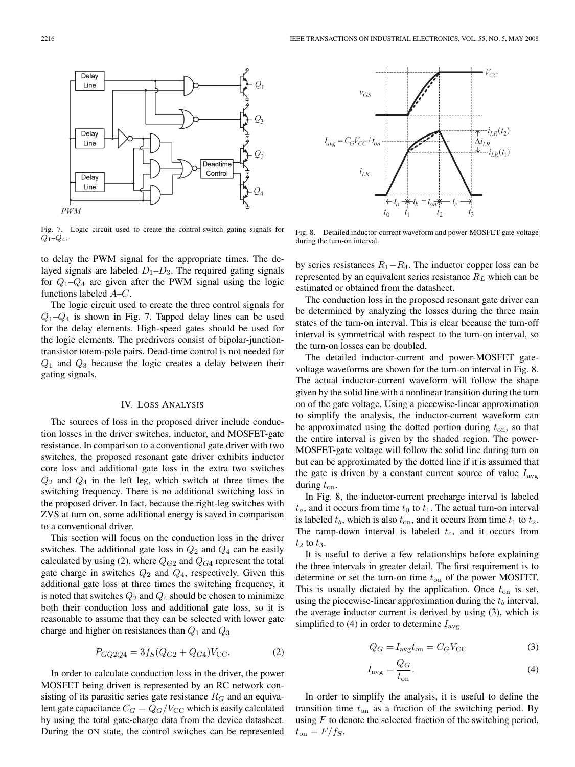$v_{GS}$ 

 $i_{LR}$ 

 $I_{avg} = C_G V_{CC} / t_{on}$ 

 $V_{CC}$ 

 $-i_{LR}(t_2)$ 

 $-i_{LR}(t_1)$ 

 $\Delta i_{LR}$ 

Fig. 7. Logic circuit used to create the control-switch gating signals for  $Q_1 - Q_4$ .

to delay the PWM signal for the appropriate times. The delayed signals are labeled  $D_1-D_3$ . The required gating signals for  $Q_1 - Q_4$  are given after the PWM signal using the logic functions labeled A–C.

The logic circuit used to create the three control signals for  $Q_1-Q_4$  is shown in Fig. 7. Tapped delay lines can be used for the delay elements. High-speed gates should be used for the logic elements. The predrivers consist of bipolar-junctiontransistor totem-pole pairs. Dead-time control is not needed for  $Q_1$  and  $Q_3$  because the logic creates a delay between their gating signals.

## IV. LOSS ANALYSIS

The sources of loss in the proposed driver include conduction losses in the driver switches, inductor, and MOSFET-gate resistance. In comparison to a conventional gate driver with two switches, the proposed resonant gate driver exhibits inductor core loss and additional gate loss in the extra two switches  $Q_2$  and  $Q_4$  in the left leg, which switch at three times the switching frequency. There is no additional switching loss in the proposed driver. In fact, because the right-leg switches with ZVS at turn on, some additional energy is saved in comparison to a conventional driver.

This section will focus on the conduction loss in the driver switches. The additional gate loss in  $Q_2$  and  $Q_4$  can be easily calculated by using (2), where  $Q_{G2}$  and  $Q_{G4}$  represent the total gate charge in switches  $Q_2$  and  $Q_4$ , respectively. Given this additional gate loss at three times the switching frequency, it is noted that switches  $Q_2$  and  $Q_4$  should be chosen to minimize both their conduction loss and additional gate loss, so it is reasonable to assume that they can be selected with lower gate charge and higher on resistances than  $Q_1$  and  $Q_3$ 

$$
P_{GQ2Q4} = 3f_S(Q_{G2} + Q_{G4})V_{\text{CC}}.\tag{2}
$$

In order to calculate conduction loss in the driver, the power MOSFET being driven is represented by an RC network consisting of its parasitic series gate resistance  $R_G$  and an equivalent gate capacitance  $C_G = Q_G/V_{CC}$  which is easily calculated by using the total gate-charge data from the device datasheet. During the ON state, the control switches can be represented



by series resistances  $R_1 - R_4$ . The inductor copper loss can be represented by an equivalent series resistance  $R_L$  which can be estimated or obtained from the datasheet.

The conduction loss in the proposed resonant gate driver can be determined by analyzing the losses during the three main states of the turn-on interval. This is clear because the turn-off interval is symmetrical with respect to the turn-on interval, so the turn-on losses can be doubled.

The detailed inductor-current and power-MOSFET gatevoltage waveforms are shown for the turn-on interval in Fig. 8. The actual inductor-current waveform will follow the shape given by the solid line with a nonlinear transition during the turn on of the gate voltage. Using a piecewise-linear approximation to simplify the analysis, the inductor-current waveform can be approximated using the dotted portion during  $t_{on}$ , so that the entire interval is given by the shaded region. The power-MOSFET-gate voltage will follow the solid line during turn on but can be approximated by the dotted line if it is assumed that the gate is driven by a constant current source of value  $I_{\text{avg}}$ during  $t_{on}$ .

In Fig. 8, the inductor-current precharge interval is labeled  $t_a$ , and it occurs from time  $t_0$  to  $t_1$ . The actual turn-on interval is labeled  $t<sub>b</sub>$ , which is also  $t<sub>on</sub>$ , and it occurs from time  $t<sub>1</sub>$  to  $t<sub>2</sub>$ . The ramp-down interval is labeled  $t_c$ , and it occurs from  $t_2$  to  $t_3$ .

It is useful to derive a few relationships before explaining the three intervals in greater detail. The first requirement is to determine or set the turn-on time  $t_{on}$  of the power MOSFET. This is usually dictated by the application. Once  $t_{on}$  is set, using the piecewise-linear approximation during the  $t<sub>b</sub>$  interval, the average inductor current is derived by using (3), which is simplified to (4) in order to determine  $I_{\text{avg}}$ 

$$
Q_G = I_{\text{avg}} t_{\text{on}} = C_G V_{\text{CC}}
$$
 (3)

$$
I_{\text{avg}} = \frac{Q_G}{t_{\text{on}}}.\tag{4}
$$

In order to simplify the analysis, it is useful to define the transition time  $t_{on}$  as a fraction of the switching period. By using  $F$  to denote the selected fraction of the switching period,  $t_{\rm on} = F/f_S.$ 



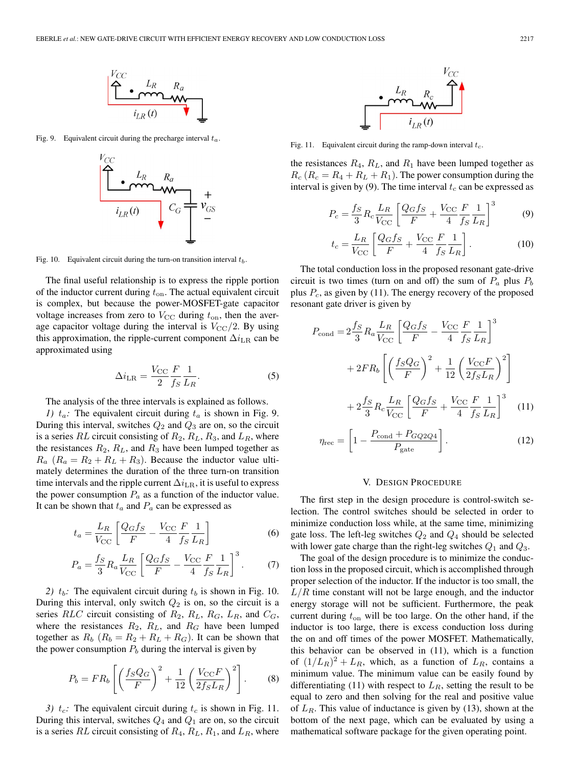

Fig. 9. Equivalent circuit during the precharge interval  $t_a$ .



Fig. 10. Equivalent circuit during the turn-on transition interval  $t_b$ .

The final useful relationship is to express the ripple portion of the inductor current during  $t_{on}$ . The actual equivalent circuit is complex, but because the power-MOSFET-gate capacitor voltage increases from zero to  $V_{\text{CC}}$  during  $t_{\text{on}}$ , then the average capacitor voltage during the interval is  $V_{\text{CC}}/2$ . By using this approximation, the ripple-current component  $\Delta i_{LR}$  can be approximated using

$$
\Delta i_{\rm LR} = \frac{V_{\rm CC}}{2} \frac{F}{f_S} \frac{1}{L_R}.
$$
 (5)

The analysis of the three intervals is explained as follows.

*1)*  $t_a$ : The equivalent circuit during  $t_a$  is shown in Fig. 9. During this interval, switches  $Q_2$  and  $Q_3$  are on, so the circuit is a series RL circuit consisting of  $R_2, R_L, R_3$ , and  $L_R$ , where the resistances  $R_2$ ,  $R_L$ , and  $R_3$  have been lumped together as  $R_a$  ( $R_a = R_2 + R_L + R_3$ ). Because the inductor value ultimately determines the duration of the three turn-on transition time intervals and the ripple current  $\Delta i_{LR}$ , it is useful to express the power consumption  $P_a$  as a function of the inductor value. It can be shown that  $t_a$  and  $P_a$  can be expressed as

$$
t_a = \frac{L_R}{V_{\rm CC}} \left[ \frac{Q_G f_S}{F} - \frac{V_{\rm CC}}{4} \frac{F}{f_S} \frac{1}{L_R} \right]
$$
 (6)

$$
P_a = \frac{f_S}{3} R_a \frac{L_R}{V_{\rm CC}} \left[ \frac{Q_G f_S}{F} - \frac{V_{\rm CC}}{4} \frac{F}{f_S} \frac{1}{L_R} \right]^3. \tag{7}
$$

2)  $t_b$ : The equivalent circuit during  $t_b$  is shown in Fig. 10. During this interval, only switch  $Q_2$  is on, so the circuit is a series RLC circuit consisting of  $R_2$ ,  $R_L$ ,  $R_G$ ,  $L_R$ , and  $C_G$ , where the resistances  $R_2$ ,  $R_L$ , and  $R_G$  have been lumped together as  $R_b$  ( $R_b = R_2 + R_L + R_G$ ). It can be shown that the power consumption  $P_b$  during the interval is given by

$$
P_b = FR_b \left[ \left( \frac{f_S Q_G}{F} \right)^2 + \frac{1}{12} \left( \frac{V_{\rm CC} F}{2f_S L_R} \right)^2 \right].
$$
 (8)

*3)*  $t_c$ : The equivalent circuit during  $t_c$  is shown in Fig. 11. During this interval, switches  $Q_4$  and  $Q_1$  are on, so the circuit is a series RL circuit consisting of  $R_4$ ,  $R_L$ ,  $R_1$ , and  $L_R$ , where



Fig. 11. Equivalent circuit during the ramp-down interval  $t_c$ .

the resistances  $R_4$ ,  $R_L$ , and  $R_1$  have been lumped together as  $R_c$  ( $R_c = R_4 + R_L + R_1$ ). The power consumption during the interval is given by (9). The time interval  $t_c$  can be expressed as

$$
P_c = \frac{f_S}{3} R_c \frac{L_R}{V_{\rm CC}} \left[ \frac{Q_G f_S}{F} + \frac{V_{\rm CC}}{4} \frac{F}{f_S} \frac{1}{L_R} \right]^3 \tag{9}
$$

$$
t_c = \frac{L_R}{V_{\rm CC}} \left[ \frac{Q_G f_S}{F} + \frac{V_{\rm CC}}{4} \frac{F}{f_S} \frac{1}{L_R} \right].
$$
 (10)

The total conduction loss in the proposed resonant gate-drive circuit is two times (turn on and off) the sum of  $P_a$  plus  $P_b$ plus  $P_c$ , as given by (11). The energy recovery of the proposed resonant gate driver is given by

$$
P_{\text{cond}} = 2\frac{f_S}{3} R_a \frac{L_R}{V_{\text{CC}}} \left[ \frac{Q_G f_S}{F} - \frac{V_{\text{CC}}}{4} \frac{F}{f_S} \frac{1}{L_R} \right]^3
$$

$$
+ 2F R_b \left[ \left( \frac{f_S Q_G}{F} \right)^2 + \frac{1}{12} \left( \frac{V_{\text{CC}} F}{2f_S L_R} \right)^2 \right]
$$

$$
+ 2\frac{f_S}{3} R_c \frac{L_R}{V_{\text{CC}}} \left[ \frac{Q_G f_S}{F} + \frac{V_{\text{CC}}}{4} \frac{F}{f_S} \frac{1}{L_R} \right]^3 \quad (11)
$$

$$
\eta_{\rm rec} = \left[1 - \frac{P_{\rm cond} + P_{GQ2Q4}}{P_{\rm gate}}\right].\tag{12}
$$

#### V. DESIGN PROCEDURE

The first step in the design procedure is control-switch selection. The control switches should be selected in order to minimize conduction loss while, at the same time, minimizing gate loss. The left-leg switches  $Q_2$  and  $Q_4$  should be selected with lower gate charge than the right-leg switches  $Q_1$  and  $Q_3$ .

The goal of the design procedure is to minimize the conduction loss in the proposed circuit, which is accomplished through proper selection of the inductor. If the inductor is too small, the  $L/R$  time constant will not be large enough, and the inductor energy storage will not be sufficient. Furthermore, the peak current during  $t_{on}$  will be too large. On the other hand, if the inductor is too large, there is excess conduction loss during the on and off times of the power MOSFET. Mathematically, this behavior can be observed in (11), which is a function of  $(1/L_R)^2 + L_R$ , which, as a function of  $L_R$ , contains a minimum value. The minimum value can be easily found by differentiating (11) with respect to  $L_R$ , setting the result to be equal to zero and then solving for the real and positive value of  $L_R$ . This value of inductance is given by (13), shown at the bottom of the next page, which can be evaluated by using a mathematical software package for the given operating point.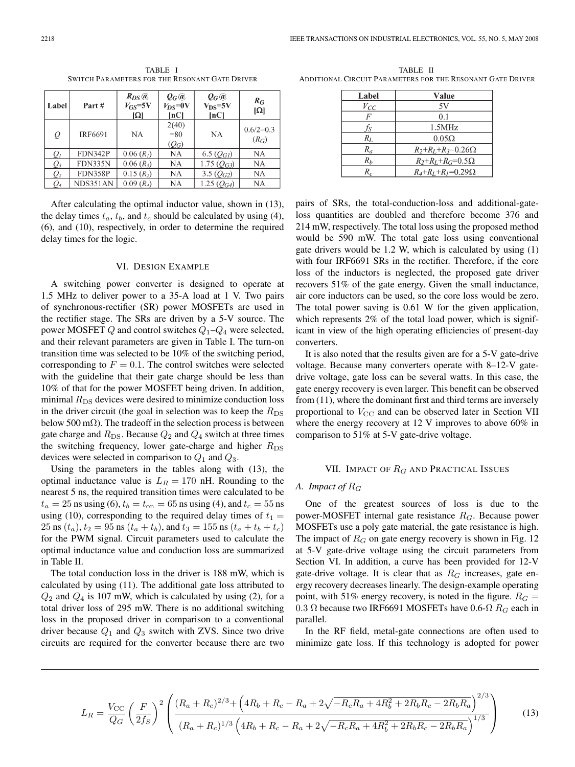| Label           | Part#          | $R_{DS}$ $\omega$<br>$V_{GS}$ =5V<br>$ \Omega $ | $Q_G$ @<br>$V_{DS}$ =0V<br>[nC] | $Q_G @$<br>$\rm V_{DS}$ =5V<br>$\left[ nC\right]$ | $R_G$<br>$\Omega$      |
|-----------------|----------------|-------------------------------------------------|---------------------------------|---------------------------------------------------|------------------------|
| Q               | <b>IRF6691</b> | NA                                              | 2(40)<br>$= 80$<br>$(Q_G)$      | NA                                                | $0.6/2=0.3$<br>$(R_G)$ |
| $Q_I$           | <b>FDN342P</b> | 0.06(R <sub>1</sub> )                           | NA                              | 6.5 $(Q_{GI})$                                    | NA                     |
| $\mathcal{Q}_3$ | <b>FDN335N</b> | $0.06(R_3)$                                     | NA                              | 1.75 $(Q_{G3})$                                   | NА                     |
| $\mathcal{Q}_2$ | FDN358P        | $0.15(R_2)$                                     | NA                              | 3.5 $(Q_{G2})$                                    | NA                     |
| Q4              | NDS351AN       | $0.09(R_4)$                                     | NA                              | 1.25 $(Q_{G4})$                                   | NA                     |

TABLE I SWITCH PARAMETERS FOR THE RESONANT GATE DRIVER

After calculating the optimal inductor value, shown in (13), the delay times  $t_a$ ,  $t_b$ , and  $t_c$  should be calculated by using (4), (6), and (10), respectively, in order to determine the required delay times for the logic.

## VI. DESIGN EXAMPLE

A switching power converter is designed to operate at 1.5 MHz to deliver power to a 35-A load at 1 V. Two pairs of synchronous-rectifier (SR) power MOSFETs are used in the rectifier stage. The SRs are driven by a 5-V source. The power MOSFET  $Q$  and control switches  $Q_1 - Q_4$  were selected, and their relevant parameters are given in Table I. The turn-on transition time was selected to be 10% of the switching period, corresponding to  $F = 0.1$ . The control switches were selected with the guideline that their gate charge should be less than 10% of that for the power MOSFET being driven. In addition, minimal  $R_{DS}$  devices were desired to minimize conduction loss in the driver circuit (the goal in selection was to keep the  $R_{DS}$ below 500 m $\Omega$ ). The tradeoff in the selection process is between gate charge and  $R_{DS}$ . Because  $Q_2$  and  $Q_4$  switch at three times the switching frequency, lower gate-charge and higher  $R_{DS}$ devices were selected in comparison to  $Q_1$  and  $Q_3$ .

Using the parameters in the tables along with (13), the optimal inductance value is  $L_R = 170$  nH. Rounding to the nearest 5 ns, the required transition times were calculated to be  $t_a = 25$  ns using (6),  $t_b = t_{on} = 65$  ns using (4), and  $t_c = 55$  ns using (10), corresponding to the required delay times of  $t_1$  = 25 ns  $(t_a)$ ,  $t_2 = 95$  ns  $(t_a + t_b)$ , and  $t_3 = 155$  ns  $(t_a + t_b + t_c)$ for the PWM signal. Circuit parameters used to calculate the optimal inductance value and conduction loss are summarized in Table II.

The total conduction loss in the driver is 188 mW, which is calculated by using (11). The additional gate loss attributed to  $Q_2$  and  $Q_4$  is 107 mW, which is calculated by using (2), for a total driver loss of 295 mW. There is no additional switching loss in the proposed driver in comparison to a conventional driver because  $Q_1$  and  $Q_3$  switch with ZVS. Since two drive circuits are required for the converter because there are two

TABLE II ADDITIONAL CIRCUIT PARAMETERS FOR THE RESONANT GATE DRIVER

| Label | Value                           |
|-------|---------------------------------|
| Vсс   | 5V                              |
|       | 0.1                             |
| Íς    | 1.5MHz                          |
| $R_L$ | $0.05\Omega$                    |
| $R_a$ | $R_2+R_1+R_3=0.26\Omega$        |
| $R_h$ | $R_2+R_L+R_G=0.5\Omega$         |
| $R_c$ | $R_4 + R_1 + R_1 = 0.29 \Omega$ |

pairs of SRs, the total-conduction-loss and additional-gateloss quantities are doubled and therefore become 376 and 214 mW, respectively. The total loss using the proposed method would be 590 mW. The total gate loss using conventional gate drivers would be 1.2 W, which is calculated by using (1) with four IRF6691 SRs in the rectifier. Therefore, if the core loss of the inductors is neglected, the proposed gate driver recovers 51% of the gate energy. Given the small inductance, air core inductors can be used, so the core loss would be zero. The total power saving is 0.61 W for the given application, which represents 2% of the total load power, which is significant in view of the high operating efficiencies of present-day converters.

It is also noted that the results given are for a 5-V gate-drive voltage. Because many converters operate with 8–12-V gatedrive voltage, gate loss can be several watts. In this case, the gate energy recovery is even larger. This benefit can be observed from (11), where the dominant first and third terms are inversely proportional to  $V_{\text{CC}}$  and can be observed later in Section VII where the energy recovery at 12 V improves to above 60% in comparison to 51% at 5-V gate-drive voltage.

#### VII. IMPACT OF  $R_G$  and Practical Issues

## *A. Impact of* R<sup>G</sup>

One of the greatest sources of loss is due to the power-MOSFET internal gate resistance  $R_G$ . Because power MOSFETs use a poly gate material, the gate resistance is high. The impact of  $R_G$  on gate energy recovery is shown in Fig. 12 at 5-V gate-drive voltage using the circuit parameters from Section VI. In addition, a curve has been provided for 12-V gate-drive voltage. It is clear that as  $R_G$  increases, gate energy recovery decreases linearly. The design-example operating point, with 51% energy recovery, is noted in the figure.  $R_G =$ 0.3 Ω because two IRF6691 MOSFETs have 0.6- $\Omega$  R<sub>G</sub> each in parallel.

In the RF field, metal-gate connections are often used to minimize gate loss. If this technology is adopted for power

$$
L_R = \frac{V_{\rm CC}}{Q_G} \left(\frac{F}{2f_S}\right)^2 \left(\frac{(R_a + R_c)^{2/3} + \left(4R_b + R_c - R_a + 2\sqrt{-R_cR_a + 4R_b^2 + 2R_bR_c - 2R_bR_a}\right)^{2/3}}{(R_a + R_c)^{1/3}\left(4R_b + R_c - R_a + 2\sqrt{-R_cR_a + 4R_b^2 + 2R_bR_c - 2R_bR_a}\right)^{1/3}}\right)
$$
(13)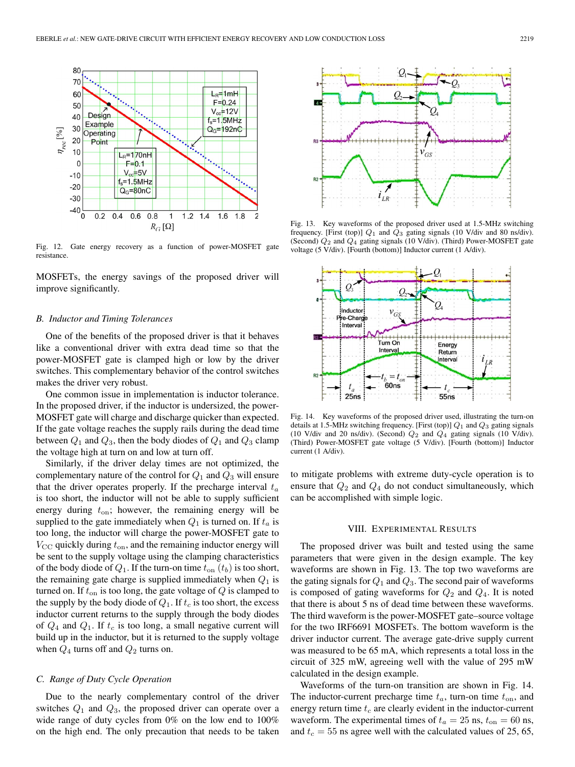

Fig. 12. Gate energy recovery as a function of power-MOSFET gate resistance.

MOSFETs, the energy savings of the proposed driver will improve significantly.

#### *B. Inductor and Timing Tolerances*

One of the benefits of the proposed driver is that it behaves like a conventional driver with extra dead time so that the power-MOSFET gate is clamped high or low by the driver switches. This complementary behavior of the control switches makes the driver very robust.

One common issue in implementation is inductor tolerance. In the proposed driver, if the inductor is undersized, the power-MOSFET gate will charge and discharge quicker than expected. If the gate voltage reaches the supply rails during the dead time between  $Q_1$  and  $Q_3$ , then the body diodes of  $Q_1$  and  $Q_3$  clamp the voltage high at turn on and low at turn off.

Similarly, if the driver delay times are not optimized, the complementary nature of the control for  $Q_1$  and  $Q_3$  will ensure that the driver operates properly. If the precharge interval  $t_a$ is too short, the inductor will not be able to supply sufficient energy during  $t_{\text{on}}$ ; however, the remaining energy will be supplied to the gate immediately when  $Q_1$  is turned on. If  $t_a$  is too long, the inductor will charge the power-MOSFET gate to  $V_{\rm CC}$  quickly during  $t_{\rm on}$ , and the remaining inductor energy will be sent to the supply voltage using the clamping characteristics of the body diode of  $Q_1$ . If the turn-on time  $t_{on}(t_b)$  is too short, the remaining gate charge is supplied immediately when  $Q_1$  is turned on. If  $t_{on}$  is too long, the gate voltage of  $Q$  is clamped to the supply by the body diode of  $Q_1$ . If  $t_c$  is too short, the excess inductor current returns to the supply through the body diodes of  $Q_4$  and  $Q_1$ . If  $t_c$  is too long, a small negative current will build up in the inductor, but it is returned to the supply voltage when  $Q_4$  turns off and  $Q_2$  turns on.

#### *C. Range of Duty Cycle Operation*

Due to the nearly complementary control of the driver switches  $Q_1$  and  $Q_3$ , the proposed driver can operate over a wide range of duty cycles from 0% on the low end to 100% on the high end. The only precaution that needs to be taken



Fig. 13. Key waveforms of the proposed driver used at 1.5-MHz switching frequency. [First (top)]  $Q_1$  and  $Q_3$  gating signals (10 V/div and 80 ns/div). (Second)  $Q_2$  and  $Q_4$  gating signals (10 V/div). (Third) Power-MOSFET gate voltage (5 V/div). [Fourth (bottom)] Inductor current (1 A/div).



Fig. 14. Key waveforms of the proposed driver used, illustrating the turn-on details at 1.5-MHz switching frequency. [First (top)]  $Q_1$  and  $Q_3$  gating signals (10 V/div and 20 ns/div). (Second)  $Q_2$  and  $Q_4$  gating signals (10 V/div). (Third) Power-MOSFET gate voltage (5 V/div). [Fourth (bottom)] Inductor current (1 A/div).

to mitigate problems with extreme duty-cycle operation is to ensure that  $Q_2$  and  $Q_4$  do not conduct simultaneously, which can be accomplished with simple logic.

#### VIII. EXPERIMENTAL RESULTS

The proposed driver was built and tested using the same parameters that were given in the design example. The key waveforms are shown in Fig. 13. The top two waveforms are the gating signals for  $Q_1$  and  $Q_3$ . The second pair of waveforms is composed of gating waveforms for  $Q_2$  and  $Q_4$ . It is noted that there is about 5 ns of dead time between these waveforms. The third waveform is the power-MOSFET gate–source voltage for the two IRF6691 MOSFETs. The bottom waveform is the driver inductor current. The average gate-drive supply current was measured to be 65 mA, which represents a total loss in the circuit of 325 mW, agreeing well with the value of 295 mW calculated in the design example.

Waveforms of the turn-on transition are shown in Fig. 14. The inductor-current precharge time  $t_a$ , turn-on time  $t_{on}$ , and energy return time  $t_c$  are clearly evident in the inductor-current waveform. The experimental times of  $t_a = 25$  ns,  $t_{on} = 60$  ns, and  $t_c = 55$  ns agree well with the calculated values of 25, 65,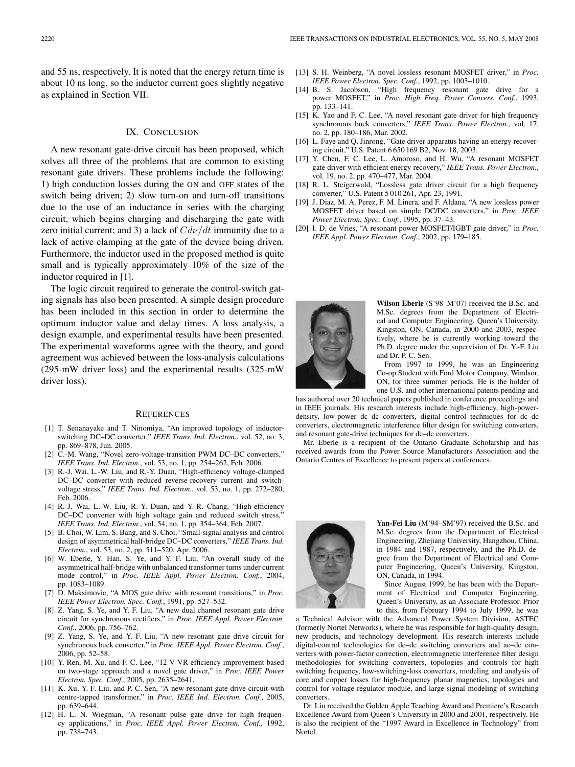and 55 ns, respectively. It is noted that the energy return time is about 10 ns long, so the inductor current goes slightly negative as explained in Section VII.

## IX. CONCLUSION

A new resonant gate-drive circuit has been proposed, which solves all three of the problems that are common to existing resonant gate drivers. These problems include the following: 1) high conduction losses during the ON and OFF states of the switch being driven; 2) slow turn-on and turn-off transitions due to the use of an inductance in series with the charging circuit, which begins charging and discharging the gate with zero initial current; and 3) a lack of  $Cdv/dt$  immunity due to a lack of active clamping at the gate of the device being driven. Furthermore, the inductor used in the proposed method is quite small and is typically approximately 10% of the size of the inductor required in [1].

The logic circuit required to generate the control-switch gating signals has also been presented. A simple design procedure has been included in this section in order to determine the optimum inductor value and delay times. A loss analysis, a design example, and experimental results have been presented. The experimental waveforms agree with the theory, and good agreement was achieved between the loss-analysis calculations (295-mW driver loss) and the experimental results (325-mW driver loss).

#### **REFERENCES**

- [1] T. Senanayake and T. Ninomiya, "An improved topology of inductorswitching DC–DC converter," *IEEE Trans. Ind. Electron.*, vol. 52, no. 3, pp. 869–878, Jun. 2005.
- [2] C.-M. Wang, "Novel zero-voltage-transition PWM DC–DC converters," *IEEE Trans. Ind. Electron.*, vol. 53, no. 1, pp. 254–262, Feb. 2006.
- [3] R.-J. Wai, L.-W. Liu, and R.-Y. Duan, "High-efficiency voltage-clamped DC–DC converter with reduced reverse-recovery current and switchvoltage stress," *IEEE Trans. Ind. Electron.*, vol. 53, no. 1, pp. 272–280, Feb. 2006.
- [4] R.-J. Wai, L.-W. Liu, R.-Y. Duan, and Y.-R. Chang, "High-efficiency DC–DC converter with high voltage gain and reduced switch stress, *IEEE Trans. Ind. Electron.*, vol. 54, no. 1, pp. 354–364, Feb. 2007.
- [5] B. Choi, W. Lim, S. Bang, and S. Choi, "Small-signal analysis and control design of asymmetrical half-bridge DC–DC converters," *IEEE Trans. Ind. Electron.*, vol. 53, no. 2, pp. 511–520, Apr. 2006.
- [6] W. Eberle, Y. Han, S. Ye, and Y. F. Liu, "An overall study of the asymmetrical half-bridge with unbalanced transformer turns under current mode control," in *Proc. IEEE Appl. Power Electron. Conf.*, 2004, pp. 1083–1089.
- [7] D. Maksimovic, "A MOS gate drive with resonant transitions," in *Proc. IEEE Power Electron. Spec. Conf.*, 1991, pp. 527–532.
- [8] Z. Yang, S. Ye, and Y. F. Liu, "A new dual channel resonant gate drive circuit for synchronous rectifiers," in *Proc. IEEE Appl. Power Electron. Conf.*, 2006, pp. 756–762.
- [9] Z. Yang, S. Ye, and Y. F. Liu, "A new resonant gate drive circuit for synchronous buck converter," in *Proc. IEEE Appl. Power Electron. Conf.*, 2006, pp. 52–58.
- [10] Y. Ren, M. Xu, and F. C. Lee, "12 V VR efficiency improvement based on two-stage approach and a novel gate driver," in *Proc. IEEE Power Electron. Spec. Conf.*, 2005, pp. 2635–2641.
- [11] K. Xu, Y. F. Liu, and P. C. Sen, "A new resonant gate drive circuit with centre-tapped transformer," in *Proc. IEEE Ind. Electron. Conf.*, 2005, pp. 639–644.
- [12] H. L. N. Wiegman, "A resonant pulse gate drive for high frequency applications," in *Proc. IEEE Appl. Power Electron. Conf.*, 1992, pp. 738–743.
- [13] S. H. Weinberg, "A novel lossless resonant MOSFET driver," in *Proc. IEEE Power Electron. Spec. Conf.*, 1992, pp. 1003–1010.
- [14] B. S. Jacobson, "High frequency resonant gate drive for a power MOSFET," in *Proc. High Freq. Power Convers. Conf.*, 1993, pp. 133–141.
- [15] K. Yao and F. C. Lee, "A novel resonant gate driver for high frequency synchronous buck converters," *IEEE Trans. Power Electron.*, vol. 17, no. 2, pp. 180–186, Mar. 2002.
- [16] L. Faye and Q. Jinrong, "Gate driver apparatus having an energy recovering circuit," U.S. Patent 6 650 169 B2, Nov. 18, 2003.
- [17] Y. Chen, F. C. Lee, L. Amoroso, and H. Wu, "A resonant MOSFET gate driver with efficient energy recovery," *IEEE Trans. Power Electron.*, vol. 19, no. 2, pp. 470–477, Mar. 2004.
- [18] R. L. Steigerwald, "Lossless gate driver circuit for a high frequency converter," U.S. Patent 5 010 261, Apr. 23, 1991.
- [19] J. Diaz, M. A. Perez, F. M. Linera, and F. Aldana, "A new lossless power MOSFET driver based on simple DC/DC converters," in *Proc. IEEE Power Electron. Spec. Conf.*, 1995, pp. 37–43.
- [20] I. D. de Vries, "A resonant power MOSFET/IGBT gate driver," in *Proc. IEEE Appl. Power Electron. Conf.*, 2002, pp. 179–185.



**Wilson Eberle** (S'98–M'07) received the B.Sc. and M.Sc. degrees from the Department of Electrical and Computer Engineering, Queen's University, Kingston, ON, Canada, in 2000 and 2003, respectively, where he is currently working toward the Ph.D. degree under the supervision of Dr. Y.-F. Liu and Dr. P. C. Sen.

From 1997 to 1999, he was an Engineering Co-op Student with Ford Motor Company, Windsor, ON, for three summer periods. He is the holder of one U.S. and other international patents pending and

has authored over 20 technical papers published in conference proceedings and in IEEE journals. His research interests include high-efficiency, high-powerdensity, low-power dc–dc converters, digital control techniques for dc–dc converters, electromagnetic interference filter design for switching converters, and resonant gate-drive techniques for dc–dc converters.

Mr. Eberle is a recipient of the Ontario Graduate Scholarship and has received awards from the Power Source Manufacturers Association and the Ontario Centres of Excellence to present papers at conferences.



**Yan-Fei Liu** (M'94–SM'97) received the B.Sc. and M.Sc. degrees from the Department of Electrical Engineering, Zhejiang University, Hangzhou, China, in 1984 and 1987, respectively, and the Ph.D. degree from the Department of Electrical and Computer Engineering, Queen's University, Kingston, ON, Canada, in 1994.

Since August 1999, he has been with the Department of Electrical and Computer Engineering, Queen's University, as an Associate Professor. Prior to this, from February 1994 to July 1999, he was

a Technical Advisor with the Advanced Power System Division, ASTEC (formerly Nortel Networks), where he was responsible for high-quality design, new products, and technology development. His research interests include digital-control technologies for dc–dc switching converters and ac–dc converters with power-factor correction, electromagnetic interference filter design methodologies for switching converters, topologies and controls for high switching frequency, low-switching-loss converters, modeling and analysis of core and copper losses for high-frequency planar magnetics, topologies and control for voltage-regulator module, and large-signal modeling of switching converters.

Dr. Liu received the Golden Apple Teaching Award and Premiere's Research Excellence Award from Queen's University in 2000 and 2001, respectively. He is also the recipient of the "1997 Award in Excellence in Technology" from Nortel.